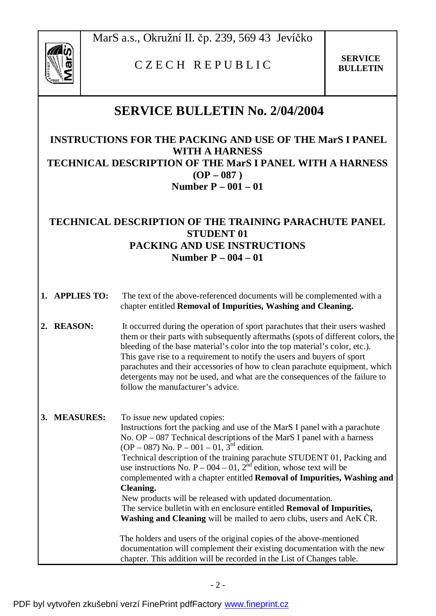

## C Z <sup>E</sup> C H R <sup>E</sup> <sup>P</sup> <sup>U</sup> <sup>B</sup> <sup>L</sup> I C **SERVICE**

**BULLETIN** 

## **SERVICE BULLETIN No. 2/04/2004**

**INSTRUCTIONS FOR THE PACKING AND USE OF THE MarS I PANEL WITH A HARNESS TECHNICAL DESCRIPTION OF THE MarS I PANEL WITH A HARNESS (OP – 087 ) Number P – 001 – 01** 

## **TECHNICAL DESCRIPTION OF THE TRAINING PARACHUTE PANEL STUDENT 01 PACKING AND USE INSTRUCTIONS Number P – 004 – 01**

- **1. APPLIES TO:** The text of the above-referenced documents will be complemented with a chapter entitled **Removal of Impurities, Washing and Cleaning.**
- **2. REASON:** It occurred during the operation of sport parachutes that their users washed them or their parts with subsequently aftermaths (spots of different colors, the bleeding of the base material's color into the top material's color, etc.). This gave rise to a requirement to notify the users and buyers of sport parachutes and their accessories of how to clean parachute equipment, which detergents may not be used, and what are the consequences of the failure to follow the manufacturer's advice.

| 3. MEASURES: | To issue new updated copies:<br>Instructions fort the packing and use of the MarS I panel with a parachute<br>No. $OP - 087$ Technical descriptions of the MarS I panel with a harness<br>$OP - 087$ ) No. P – 001 – 01, 3 <sup>rd</sup> edition.<br>Technical description of the training parachute STUDENT 01, Packing and<br>use instructions No. $P - 004 - 01$ , $2^{nd}$ edition, whose text will be<br>complemented with a chapter entitled <b>Removal of Impurities, Washing and</b><br>Cleaning.<br>New products will be released with updated documentation.<br>The service bulletin with en enclosure entitled <b>Removal of Impurities</b> ,<br><b>Washing and Cleaning</b> will be mailed to aero clubs, users and AeK CR. |
|--------------|-----------------------------------------------------------------------------------------------------------------------------------------------------------------------------------------------------------------------------------------------------------------------------------------------------------------------------------------------------------------------------------------------------------------------------------------------------------------------------------------------------------------------------------------------------------------------------------------------------------------------------------------------------------------------------------------------------------------------------------------|
|              | The holders and users of the original copies of the above-mentioned<br>documentation will complement their existing documentation with the new<br>chapter. This addition will be recorded in the List of Changes table.                                                                                                                                                                                                                                                                                                                                                                                                                                                                                                                 |